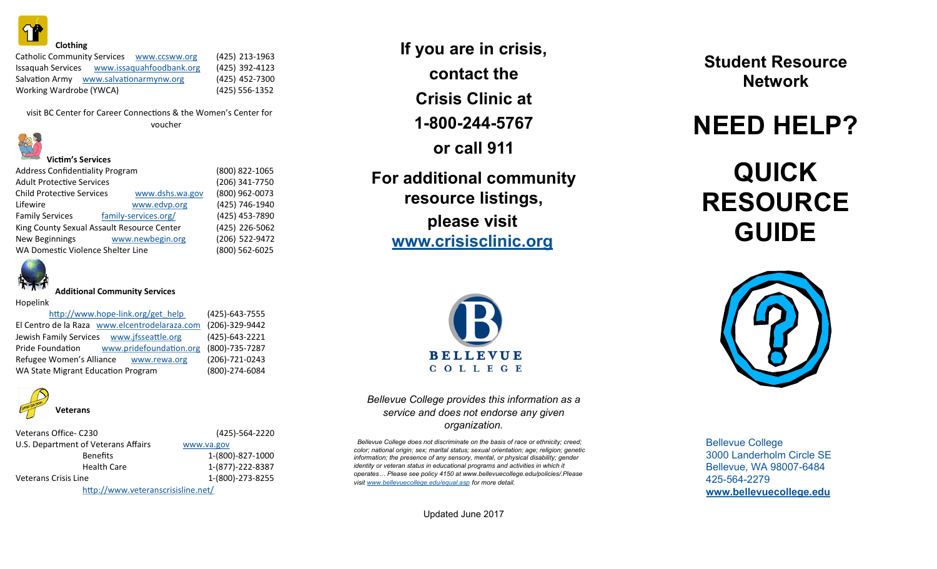

Catholic Community Services [www.ccsww.org](http://www.ccsww.org) Issaquah Services [www.issaquahfoodbank.org](http://www.issaquahfoodbank.org) Salvation Army [www.salvationarmynw.org](http://www.salvationarmynw.org) Working Wardrobe (YWCA)

**Victim's Services**

(425) 213-1963 (425) 392-4123 (425) 452-7300 (425) 556-1352

visit BC Center for Career Connections & the Women's Center for voucher



Address Confidentiality Program (800) 822-1065 Adult Protective Services Child Protective Services (206) 341-7750 [www.dshs.wa.gov](http://www.dshs.wa.gov) (800) 962-0073 Lifewire [www.edvp.org](http://www.edvp.org) Family Services family-services.org/ King County Sexual Assault Resource Center New Beginnings [www.newbegin.org](http://www.newbegin.org) WA Domestic Violence Shelter Line





#### **Additional Community Services**

Hopelink

| http://www.hope-link.org/get help             | (425)-643-7555 |
|-----------------------------------------------|----------------|
| El Centro de la Raza www.elcentrodelaraza.com | (206)-329-9442 |
| Jewish Family Services www.jfsseattle.org     | (425)-643-2221 |
| Pride Foundation<br>www.pridefoundation.org   | (800)-735-7287 |
| Refugee Women's Alliance<br>www.rewa.org      | (206)-721-0243 |
| WA State Migrant Education Program            | (800)-274-6084 |



| Veterans Office-C230                | (425)-564-2220   |
|-------------------------------------|------------------|
| U.S. Department of Veterans Affairs | www.va.gov       |
| <b>Benefits</b>                     | 1-(800)-827-1000 |
| <b>Health Care</b>                  | 1-(877)-222-8387 |
| Veterans Crisis Line                | 1-(800)-273-8255 |

<http://www.veteranscrisisline.net/>

**If you are in crisis, contact the Crisis Clinic at 1-800-244-5767 or call 911**

**For additional community resource listings, please visit www.crisisclinic.org**



### *Bellevue College provides this information as a service and does not endorse any given organization.*

*Bellevue College does not discriminate on the basis of race or ethnicity; creed; color; national origin; sex; marital status; sexual orientation; age; religion; genetic information; the presence of any sensory, mental, or physical disability; gender identity or veteran status in educatio[nal programs and activities in which it](http://www.bellevuecollege.edu/equal.asp)  operates… Please see policy 4150 at www.bellevuecollege.edu/policies/.Please visit www.bellevuecollege.edu/equal.asp for more detail.*

Updated June 2017

**Student Resource Network**

## **NEED HELP?**

# **QUICK RESOURCE GUIDE**



Bellevue College 3000 Landerholm Circle SE Bellevue, WA 98007-6484 425-564-2279 **[www.bellevuecollege.edu](http://www.bellevuecollege.edu)**